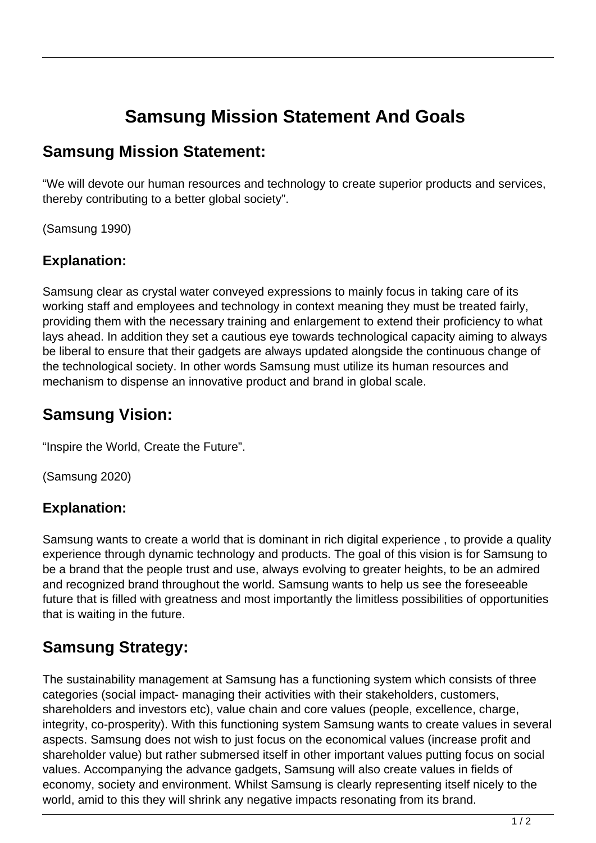# **Samsung Mission Statement And Goals**

## **Samsung Mission Statement:**

"We will devote our human resources and technology to create superior products and services, thereby contributing to a better global society".

(Samsung 1990)

#### **Explanation:**

Samsung clear as crystal water conveyed expressions to mainly focus in taking care of its working staff and employees and technology in context meaning they must be treated fairly, providing them with the necessary training and enlargement to extend their proficiency to what lays ahead. In addition they set a cautious eye towards technological capacity aiming to always be liberal to ensure that their gadgets are always updated alongside the continuous change of the technological society. In other words Samsung must utilize its human resources and mechanism to dispense an innovative product and brand in global scale.

# **Samsung Vision:**

"Inspire the World, Create the Future".

(Samsung 2020)

### **Explanation:**

Samsung wants to create a world that is dominant in rich digital experience , to provide a quality experience through dynamic technology and products. The goal of this vision is for Samsung to be a brand that the people trust and use, always evolving to greater heights, to be an admired and recognized brand throughout the world. Samsung wants to help us see the foreseeable future that is filled with greatness and most importantly the limitless possibilities of opportunities that is waiting in the future.

# **Samsung Strategy:**

The sustainability management at Samsung has a functioning system which consists of three categories (social impact- managing their activities with their stakeholders, customers, shareholders and investors etc), value chain and core values (people, excellence, charge, integrity, co-prosperity). With this functioning system Samsung wants to create values in several aspects. Samsung does not wish to just focus on the economical values (increase profit and shareholder value) but rather submersed itself in other important values putting focus on social values. Accompanying the advance gadgets, Samsung will also create values in fields of economy, society and environment. Whilst Samsung is clearly representing itself nicely to the world, amid to this they will shrink any negative impacts resonating from its brand.